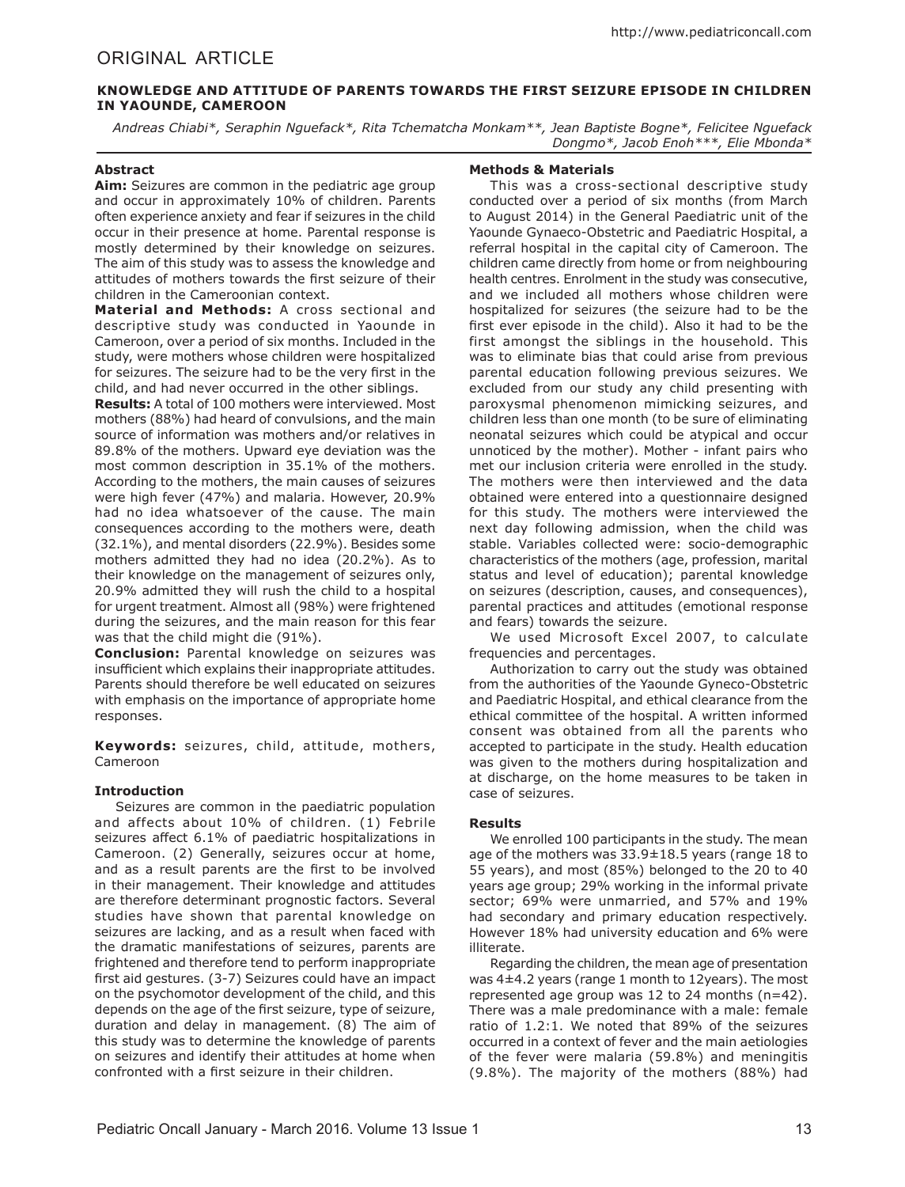# ORIGINAL ARTICLE

# **KNOWLEDGE AND ATTITUDE OF PARENTS TOWARDS THE FIRST SEIZURE EPISODE IN CHILDREN IN YAOUNDE, CAMEROON**

*Andreas Chiabi\*, Seraphin Nguefack\*, Rita Tchematcha Monkam\*\*, Jean Baptiste Bogne\*, Felicitee Nguefack Dongmo\*, Jacob Enoh\*\*\*, Elie Mbonda\**

## **Abstract**

**Aim:** Seizures are common in the pediatric age group and occur in approximately 10% of children. Parents often experience anxiety and fear if seizures in the child occur in their presence at home. Parental response is mostly determined by their knowledge on seizures. The aim of this study was to assess the knowledge and attitudes of mothers towards the first seizure of their children in the Cameroonian context.

**Material and Methods:** A cross sectional and descriptive study was conducted in Yaounde in Cameroon, over a period of six months. Included in the study, were mothers whose children were hospitalized for seizures. The seizure had to be the very first in the child, and had never occurred in the other siblings.

**Results:** A total of 100 mothers were interviewed. Most mothers (88%) had heard of convulsions, and the main source of information was mothers and/or relatives in 89.8% of the mothers. Upward eye deviation was the most common description in 35.1% of the mothers. According to the mothers, the main causes of seizures were high fever (47%) and malaria. However, 20.9% had no idea whatsoever of the cause. The main consequences according to the mothers were, death (32.1%), and mental disorders (22.9%). Besides some mothers admitted they had no idea (20.2%). As to their knowledge on the management of seizures only, 20.9% admitted they will rush the child to a hospital for urgent treatment. Almost all (98%) were frightened during the seizures, and the main reason for this fear was that the child might die (91%).

**Conclusion:** Parental knowledge on seizures was insufficient which explains their inappropriate attitudes. Parents should therefore be well educated on seizures with emphasis on the importance of appropriate home responses.

**Keywords:** seizures, child, attitude, mothers, Cameroon

#### **Introduction**

Seizures are common in the paediatric population and affects about 10% of children. (1) Febrile seizures affect 6.1% of paediatric hospitalizations in Cameroon. (2) Generally, seizures occur at home, and as a result parents are the first to be involved in their management. Their knowledge and attitudes are therefore determinant prognostic factors. Several studies have shown that parental knowledge on seizures are lacking, and as a result when faced with the dramatic manifestations of seizures, parents are frightened and therefore tend to perform inappropriate first aid gestures. (3-7) Seizures could have an impact on the psychomotor development of the child, and this depends on the age of the first seizure, type of seizure, duration and delay in management. (8) The aim of this study was to determine the knowledge of parents on seizures and identify their attitudes at home when confronted with a first seizure in their children.

## **Methods & Materials**

This was a cross-sectional descriptive study conducted over a period of six months (from March to August 2014) in the General Paediatric unit of the Yaounde Gynaeco-Obstetric and Paediatric Hospital, a referral hospital in the capital city of Cameroon. The children came directly from home or from neighbouring health centres. Enrolment in the study was consecutive, and we included all mothers whose children were hospitalized for seizures (the seizure had to be the first ever episode in the child). Also it had to be the first amongst the siblings in the household. This was to eliminate bias that could arise from previous parental education following previous seizures. We excluded from our study any child presenting with paroxysmal phenomenon mimicking seizures, and children less than one month (to be sure of eliminating neonatal seizures which could be atypical and occur unnoticed by the mother). Mother - infant pairs who met our inclusion criteria were enrolled in the study. The mothers were then interviewed and the data obtained were entered into a questionnaire designed for this study. The mothers were interviewed the next day following admission, when the child was stable. Variables collected were: socio-demographic characteristics of the mothers (age, profession, marital status and level of education); parental knowledge on seizures (description, causes, and consequences), parental practices and attitudes (emotional response and fears) towards the seizure.

We used Microsoft Excel 2007, to calculate frequencies and percentages.

Authorization to carry out the study was obtained from the authorities of the Yaounde Gyneco-Obstetric and Paediatric Hospital, and ethical clearance from the ethical committee of the hospital. A written informed consent was obtained from all the parents who accepted to participate in the study. Health education was given to the mothers during hospitalization and at discharge, on the home measures to be taken in case of seizures.

#### **Results**

We enrolled 100 participants in the study. The mean age of the mothers was 33.9±18.5 years (range 18 to 55 years), and most (85%) belonged to the 20 to 40 years age group; 29% working in the informal private sector; 69% were unmarried, and 57% and 19% had secondary and primary education respectively. However 18% had university education and 6% were illiterate.

Regarding the children, the mean age of presentation was 4±4.2 years (range 1 month to 12years). The most represented age group was 12 to 24 months (n=42). There was a male predominance with a male: female ratio of 1.2:1. We noted that 89% of the seizures occurred in a context of fever and the main aetiologies of the fever were malaria (59.8%) and meningitis (9.8%). The majority of the mothers (88%) had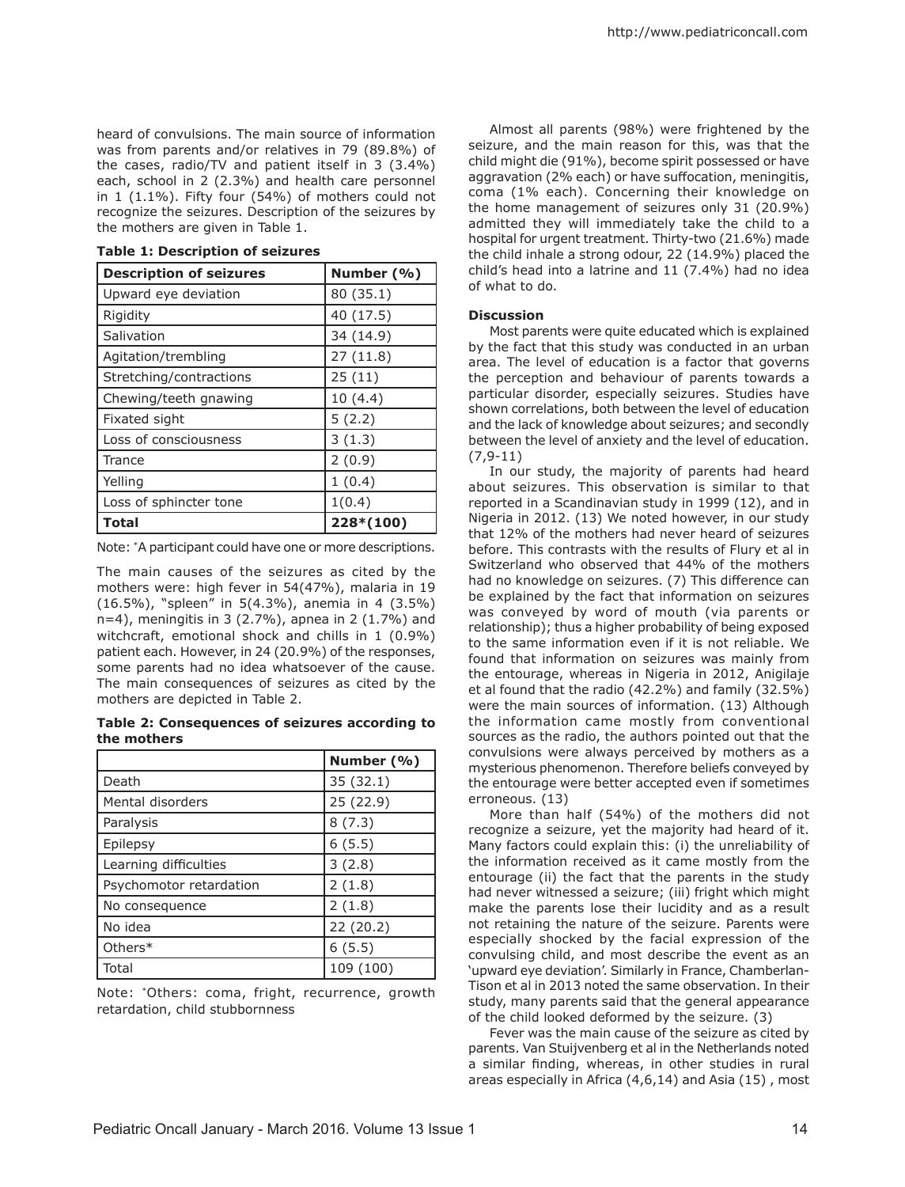heard of convulsions. The main source of information was from parents and/or relatives in 79 (89.8%) of the cases, radio/TV and patient itself in 3 (3.4%) each, school in 2 (2.3%) and health care personnel in 1 (1.1%). Fifty four (54%) of mothers could not recognize the seizures. Description of the seizures by the mothers are given in Table 1.

|  |  | <b>Table 1: Description of seizures</b> |  |  |
|--|--|-----------------------------------------|--|--|
|--|--|-----------------------------------------|--|--|

| <b>Description of seizures</b> | Number (%) |
|--------------------------------|------------|
| Upward eye deviation           | 80 (35.1)  |
| Rigidity                       | 40 (17.5)  |
| Salivation                     | 34 (14.9)  |
| Agitation/trembling            | 27(11.8)   |
| Stretching/contractions        | 25(11)     |
| Chewing/teeth gnawing          | 10(4.4)    |
| Fixated sight                  | 5(2.2)     |
| Loss of consciousness          | 3(1.3)     |
| Trance                         | 2(0.9)     |
| Yelling                        | 1(0.4)     |
| Loss of sphincter tone         | 1(0.4)     |
| Total                          | 228*(100)  |

Note: \*A participant could have one or more descriptions.

The main causes of the seizures as cited by the mothers were: high fever in 54(47%), malaria in 19 (16.5%), "spleen" in 5(4.3%), anemia in 4 (3.5%) n=4), meningitis in 3 (2.7%), apnea in 2 (1.7%) and witchcraft, emotional shock and chills in 1 (0.9%) patient each. However, in 24 (20.9%) of the responses, some parents had no idea whatsoever of the cause. The main consequences of seizures as cited by the mothers are depicted in Table 2.

#### **Table 2: Consequences of seizures according to the mothers**

|                         | Number (%) |
|-------------------------|------------|
| Death                   | 35 (32.1)  |
| Mental disorders        | 25 (22.9)  |
| Paralysis               | 8(7.3)     |
| Epilepsy                | 6(5.5)     |
| Learning difficulties   | 3(2.8)     |
| Psychomotor retardation | 2(1.8)     |
| No consequence          | 2(1.8)     |
| No idea                 | 22 (20.2)  |
| Others*                 | 6(5.5)     |
| Total                   | 109 (100)  |

Note: \*Others: coma, fright, recurrence, growth retardation, child stubbornness

Almost all parents (98%) were frightened by the seizure, and the main reason for this, was that the child might die (91%), become spirit possessed or have aggravation (2% each) or have suffocation, meningitis, coma (1% each). Concerning their knowledge on the home management of seizures only 31 (20.9%) admitted they will immediately take the child to a hospital for urgent treatment. Thirty-two (21.6%) made the child inhale a strong odour, 22 (14.9%) placed the child's head into a latrine and 11 (7.4%) had no idea of what to do.

#### **Discussion**

Most parents were quite educated which is explained by the fact that this study was conducted in an urban area. The level of education is a factor that governs the perception and behaviour of parents towards a particular disorder, especially seizures. Studies have shown correlations, both between the level of education and the lack of knowledge about seizures; and secondly between the level of anxiety and the level of education. (7,9-11)

In our study, the majority of parents had heard about seizures. This observation is similar to that reported in a Scandinavian study in 1999 (12), and in Nigeria in 2012. (13) We noted however, in our study that 12% of the mothers had never heard of seizures before. This contrasts with the results of Flury et al in Switzerland who observed that 44% of the mothers had no knowledge on seizures. (7) This difference can be explained by the fact that information on seizures was conveyed by word of mouth (via parents or relationship); thus a higher probability of being exposed to the same information even if it is not reliable. We found that information on seizures was mainly from the entourage, whereas in Nigeria in 2012, Anigilaje et al found that the radio (42.2%) and family (32.5%) were the main sources of information. (13) Although the information came mostly from conventional sources as the radio, the authors pointed out that the convulsions were always perceived by mothers as a mysterious phenomenon. Therefore beliefs conveyed by the entourage were better accepted even if sometimes erroneous. (13)

More than half (54%) of the mothers did not recognize a seizure, yet the majority had heard of it. Many factors could explain this: (i) the unreliability of the information received as it came mostly from the entourage (ii) the fact that the parents in the study had never witnessed a seizure; (iii) fright which might make the parents lose their lucidity and as a result not retaining the nature of the seizure. Parents were especially shocked by the facial expression of the convulsing child, and most describe the event as an 'upward eye deviation'. Similarly in France, Chamberlan-Tison et al in 2013 noted the same observation. In their study, many parents said that the general appearance of the child looked deformed by the seizure. (3)

Fever was the main cause of the seizure as cited by parents. Van Stuijvenberg et al in the Netherlands noted a similar finding, whereas, in other studies in rural areas especially in Africa (4,6,14) and Asia (15) , most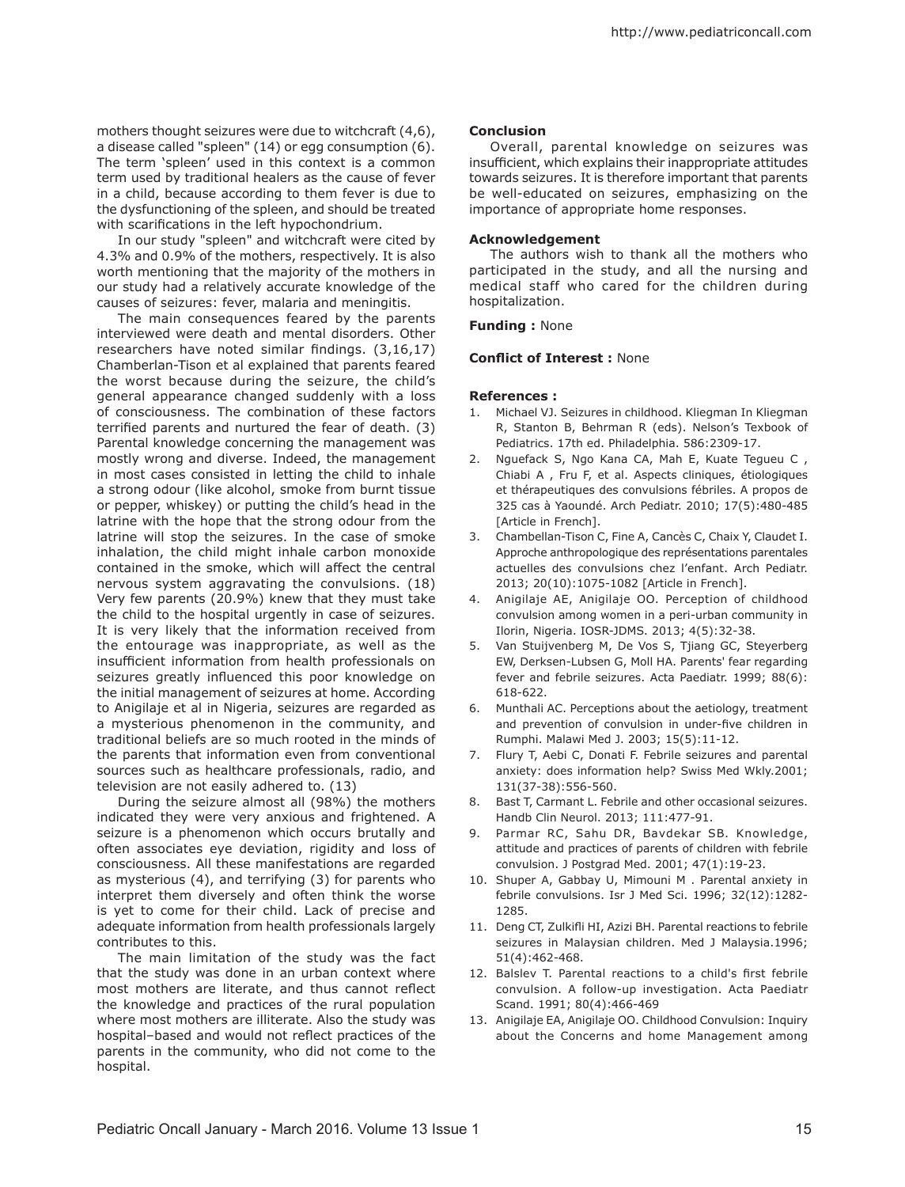mothers thought seizures were due to witchcraft (4,6), a disease called "spleen" (14) or egg consumption (6). The term 'spleen' used in this context is a common term used by traditional healers as the cause of fever in a child, because according to them fever is due to the dysfunctioning of the spleen, and should be treated with scarifications in the left hypochondrium.

In our study "spleen" and witchcraft were cited by 4.3% and 0.9% of the mothers, respectively. It is also worth mentioning that the majority of the mothers in our study had a relatively accurate knowledge of the causes of seizures: fever, malaria and meningitis.

The main consequences feared by the parents interviewed were death and mental disorders. Other researchers have noted similar findings. (3,16,17) Chamberlan-Tison et al explained that parents feared the worst because during the seizure, the child's general appearance changed suddenly with a loss of consciousness. The combination of these factors terrified parents and nurtured the fear of death. (3) Parental knowledge concerning the management was mostly wrong and diverse. Indeed, the management in most cases consisted in letting the child to inhale a strong odour (like alcohol, smoke from burnt tissue or pepper, whiskey) or putting the child's head in the latrine with the hope that the strong odour from the latrine will stop the seizures. In the case of smoke inhalation, the child might inhale carbon monoxide contained in the smoke, which will affect the central nervous system aggravating the convulsions. (18) Very few parents (20.9%) knew that they must take the child to the hospital urgently in case of seizures. It is very likely that the information received from the entourage was inappropriate, as well as the insufficient information from health professionals on seizures greatly influenced this poor knowledge on the initial management of seizures at home. According to Anigilaje et al in Nigeria, seizures are regarded as a mysterious phenomenon in the community, and traditional beliefs are so much rooted in the minds of the parents that information even from conventional sources such as healthcare professionals, radio, and television are not easily adhered to. (13)

During the seizure almost all (98%) the mothers indicated they were very anxious and frightened. A seizure is a phenomenon which occurs brutally and often associates eye deviation, rigidity and loss of consciousness. All these manifestations are regarded as mysterious (4), and terrifying (3) for parents who interpret them diversely and often think the worse is yet to come for their child. Lack of precise and adequate information from health professionals largely contributes to this.

The main limitation of the study was the fact that the study was done in an urban context where most mothers are literate, and thus cannot reflect the knowledge and practices of the rural population where most mothers are illiterate. Also the study was hospital–based and would not reflect practices of the parents in the community, who did not come to the hospital.

#### **Conclusion**

Overall, parental knowledge on seizures was insufficient, which explains their inappropriate attitudes towards seizures. It is therefore important that parents be well-educated on seizures, emphasizing on the importance of appropriate home responses.

#### **Acknowledgement**

The authors wish to thank all the mothers who participated in the study, and all the nursing and medical staff who cared for the children during hospitalization.

### **Funding :** None

#### **Conflict of Interest :** None

#### **References :**

- 1. Michael VJ. Seizures in childhood. Kliegman In Kliegman R, Stanton B, Behrman R (eds). Nelson's Texbook of Pediatrics. 17th ed. Philadelphia. 586:2309-17.
- 2. Nguefack S, Ngo Kana CA, Mah E, Kuate Tegueu C , Chiabi A , Fru F, et al. Aspects cliniques, étiologiques et thérapeutiques des convulsions fébriles. A propos de 325 cas à Yaoundé. Arch Pediatr. 2010; 17(5):480-485 [Article in French].
- 3. Chambellan-Tison C, Fine A, Cancès C, Chaix Y, Claudet I. Approche anthropologique des représentations parentales actuelles des convulsions chez l'enfant. Arch Pediatr. 2013; 20(10):1075-1082 [Article in French].
- 4. Anigilaje AE, Anigilaje OO. Perception of childhood convulsion among women in a peri-urban community in Ilorin, Nigeria. IOSR-JDMS. 2013; 4(5):32-38.
- 5. Van Stuijvenberg M, De Vos S, Tjiang GC, Steyerberg EW, Derksen-Lubsen G, Moll HA. Parents' fear regarding fever and febrile seizures. Acta Paediatr. 1999; 88(6): 618-622.
- 6. Munthali AC. Perceptions about the aetiology, treatment and prevention of convulsion in under-five children in Rumphi. Malawi Med J. 2003; 15(5):11-12.
- 7. Flury T, Aebi C, Donati F. Febrile seizures and parental anxiety: does information help? Swiss Med Wkly.2001; 131(37-38):556-560.
- 8. Bast T, Carmant L. Febrile and other occasional seizures. Handb Clin Neurol. 2013; 111:477-91.
- 9. Parmar RC, Sahu DR, Bavdekar SB. Knowledge, attitude and practices of parents of children with febrile convulsion. J Postgrad Med. 2001; 47(1):19-23.
- 10. Shuper A, Gabbay U, Mimouni M . Parental anxiety in febrile convulsions. Isr J Med Sci. 1996; 32(12):1282- 1285.
- 11. Deng CT, Zulkifli HI, Azizi BH. Parental reactions to febrile seizures in Malaysian children. Med J Malaysia.1996; 51(4):462-468.
- 12. Balslev T. Parental reactions to a child's first febrile convulsion. A follow-up investigation. Acta Paediatr Scand. 1991; 80(4):466-469
- 13. Anigilaje EA, Anigilaje OO. Childhood Convulsion: Inquiry about the Concerns and home Management among